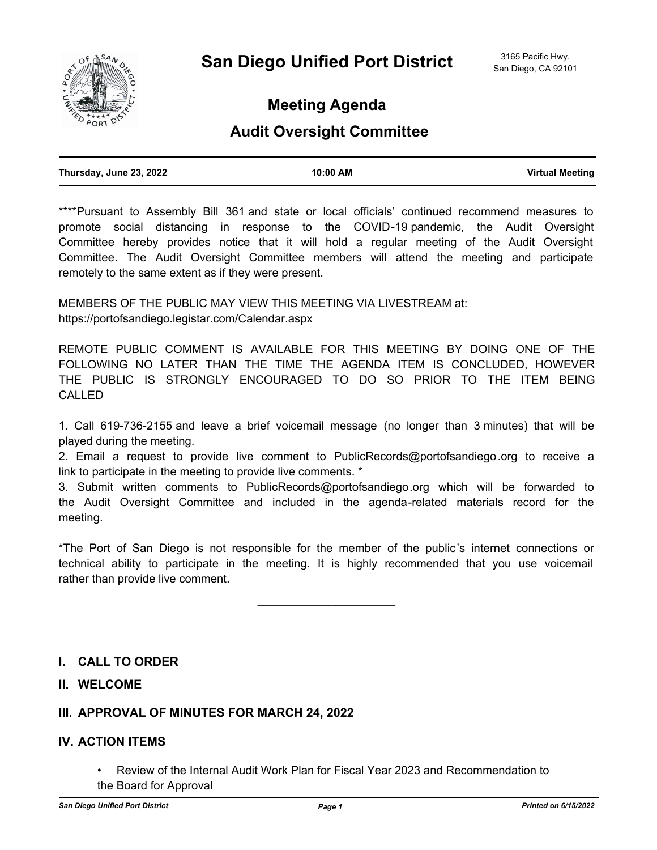

# **Meeting Agenda**

# **Audit Oversight Committee**

| Thursday, June 23, 2022 | 10:00 AM | <b>Virtual Meeting</b> |
|-------------------------|----------|------------------------|
|                         |          |                        |

\*\*\*\*Pursuant to Assembly Bill 361 and state or local officials' continued recommend measures to promote social distancing in response to the COVID-19 pandemic, the Audit Oversight Committee hereby provides notice that it will hold a regular meeting of the Audit Oversight Committee. The Audit Oversight Committee members will attend the meeting and participate remotely to the same extent as if they were present.

MEMBERS OF THE PUBLIC MAY VIEW THIS MEETING VIA LIVESTREAM at: https://portofsandiego.legistar.com/Calendar.aspx

REMOTE PUBLIC COMMENT IS AVAILABLE FOR THIS MEETING BY DOING ONE OF THE FOLLOWING NO LATER THAN THE TIME THE AGENDA ITEM IS CONCLUDED, HOWEVER THE PUBLIC IS STRONGLY ENCOURAGED TO DO SO PRIOR TO THE ITEM BEING CALLED

1. Call 619-736-2155 and leave a brief voicemail message (no longer than 3 minutes) that will be played during the meeting.

2. Email a request to provide live comment to PublicRecords@portofsandiego.org to receive a link to participate in the meeting to provide live comments. \*

3. Submit written comments to PublicRecords@portofsandiego.org which will be forwarded to the Audit Oversight Committee and included in the agenda-related materials record for the meeting.

\*The Port of San Diego is not responsible for the member of the public's internet connections or technical ability to participate in the meeting. It is highly recommended that you use voicemail rather than provide live comment.

**\_\_\_\_\_\_\_\_\_\_\_\_\_\_\_\_\_\_\_\_\_\_**

## **I. CALL TO ORDER**

## **II. WELCOME**

## **III. APPROVAL OF MINUTES FOR MARCH 24, 2022**

## **IV. ACTION ITEMS**

• Review of the Internal Audit Work Plan for Fiscal Year 2023 and Recommendation to the Board for Approval